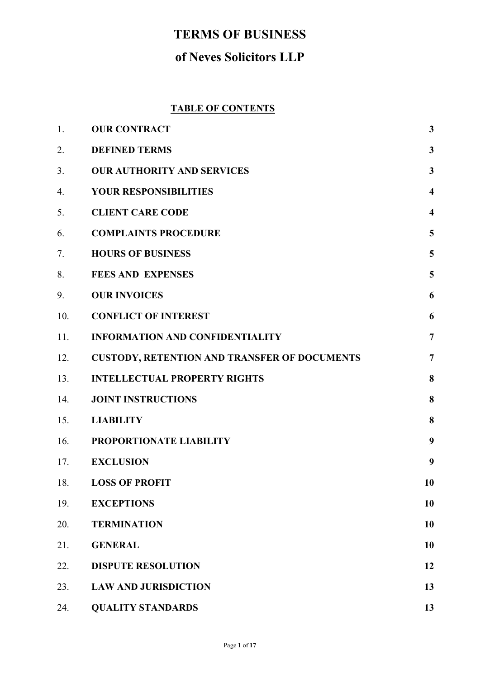# **TERMS OF BUSINESS**

# **of Neves Solicitors LLP**

# **TABLE OF CONTENTS**

| 1.  | <b>OUR CONTRACT</b>                                 | $\mathbf{3}$            |
|-----|-----------------------------------------------------|-------------------------|
| 2.  | <b>DEFINED TERMS</b>                                | $\mathbf{3}$            |
| 3.  | <b>OUR AUTHORITY AND SERVICES</b>                   | $\mathbf{3}$            |
| 4.  | <b>YOUR RESPONSIBILITIES</b>                        | $\overline{\mathbf{4}}$ |
| 5.  | <b>CLIENT CARE CODE</b>                             | $\overline{\mathbf{4}}$ |
| 6.  | <b>COMPLAINTS PROCEDURE</b>                         | 5                       |
| 7.  | <b>HOURS OF BUSINESS</b>                            | 5                       |
| 8.  | <b>FEES AND EXPENSES</b>                            | 5                       |
| 9.  | <b>OUR INVOICES</b>                                 | 6                       |
| 10. | <b>CONFLICT OF INTEREST</b>                         | 6                       |
| 11. | <b>INFORMATION AND CONFIDENTIALITY</b>              | $\overline{7}$          |
| 12. | <b>CUSTODY, RETENTION AND TRANSFER OF DOCUMENTS</b> | $\overline{7}$          |
| 13. | <b>INTELLECTUAL PROPERTY RIGHTS</b>                 | 8                       |
| 14. | <b>JOINT INSTRUCTIONS</b>                           | 8                       |
| 15. | <b>LIABILITY</b>                                    | 8                       |
| 16. | PROPORTIONATE LIABILITY                             | 9                       |
| 17. | <b>EXCLUSION</b>                                    | 9                       |
| 18. | <b>LOSS OF PROFIT</b>                               | 10                      |
| 19. | <b>EXCEPTIONS</b>                                   | 10                      |
| 20. | <b>TERMINATION</b>                                  | 10                      |
| 21. | <b>GENERAL</b>                                      | 10                      |
| 22. | <b>DISPUTE RESOLUTION</b>                           | 12                      |
| 23. | <b>LAW AND JURISDICTION</b>                         | 13                      |
| 24. | <b>QUALITY STANDARDS</b>                            | 13                      |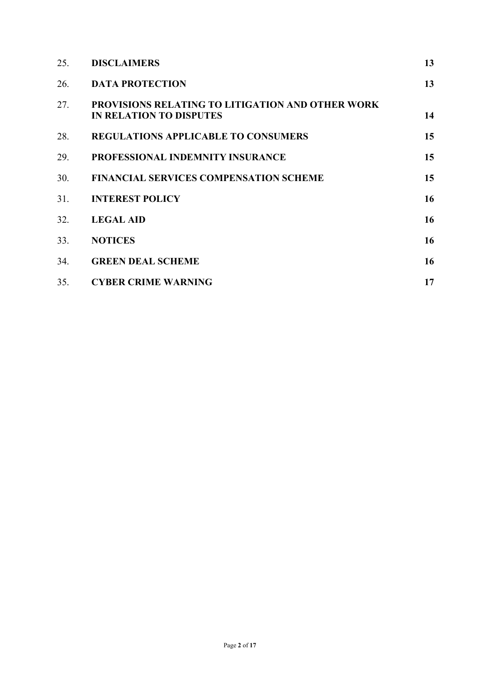| 25. | <b>DISCLAIMERS</b>                                                                        | 13 |
|-----|-------------------------------------------------------------------------------------------|----|
| 26. | <b>DATA PROTECTION</b>                                                                    | 13 |
| 27. | <b>PROVISIONS RELATING TO LITIGATION AND OTHER WORK</b><br><b>IN RELATION TO DISPUTES</b> | 14 |
| 28. | <b>REGULATIONS APPLICABLE TO CONSUMERS</b>                                                | 15 |
| 29. | PROFESSIONAL INDEMNITY INSURANCE                                                          | 15 |
| 30. | <b>FINANCIAL SERVICES COMPENSATION SCHEME</b>                                             | 15 |
| 31. | <b>INTEREST POLICY</b>                                                                    | 16 |
| 32. | <b>LEGAL AID</b>                                                                          | 16 |
| 33. | <b>NOTICES</b>                                                                            | 16 |
| 34. | <b>GREEN DEAL SCHEME</b>                                                                  | 16 |
| 35. | <b>CYBER CRIME WARNING</b>                                                                | 17 |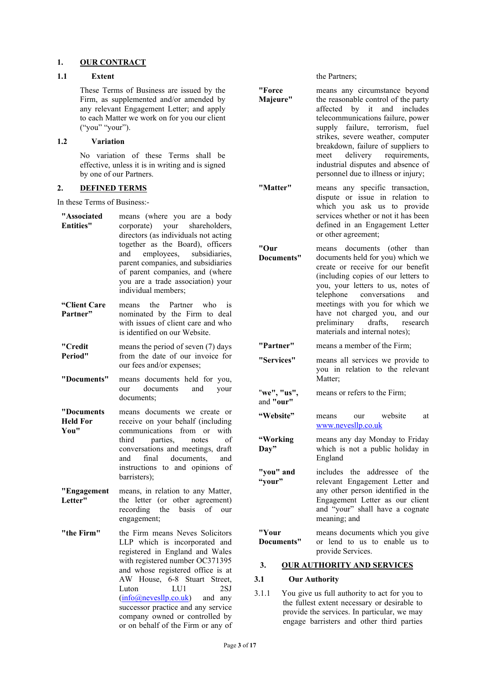#### **1. OUR CONTRACT**

# **1.1 Extent**

These Terms of Business are issued by the Firm, as supplemented and/or amended by any relevant Engagement Letter; and apply to each Matter we work on for you our client ("you" "your").

#### **1.2 Variation**

No variation of these Terms shall be effective, unless it is in writing and is signed by one of our Partners.

#### **2. DEFINED TERMS**

In these Terms of Business:-

| "Associated<br><b>Entities"</b>       | means (where you are a body<br>corporate) your shareholders,<br>directors (as individuals not acting<br>together as the Board), officers<br>employees, subsidiaries,<br>and<br>parent companies, and subsidiaries<br>of parent companies, and (where<br>you are a trade association) your<br>individual members;                            |
|---------------------------------------|---------------------------------------------------------------------------------------------------------------------------------------------------------------------------------------------------------------------------------------------------------------------------------------------------------------------------------------------|
| "Client Care<br>Partner"              | the<br>Partner who<br>means<br>is<br>nominated by the Firm to deal<br>with issues of client care and who<br>is identified on our Website.                                                                                                                                                                                                   |
| "Credit<br>Period"                    | means the period of seven (7) days<br>from the date of our invoice for<br>our fees and/or expenses;                                                                                                                                                                                                                                         |
| "Documents"                           | means documents held for you,<br>our documents<br>and<br>your<br>documents;                                                                                                                                                                                                                                                                 |
| "Documents<br><b>Held For</b><br>You" | means documents we create or<br>receive on your behalf (including<br>communications<br>from<br>with<br><sub>or</sub><br>third<br>parties,<br>notes<br>of<br>conversations and meetings, draft<br>and<br>final<br>documents,<br>and<br>instructions to and opinions of<br>barristers);                                                       |
| "Engagement<br>Letter"                | means, in relation to any Matter,<br>the letter (or other agreement)<br>recording<br>the<br>basis<br>of our<br>engagement;                                                                                                                                                                                                                  |
| "the Firm"                            | the Firm means Neves Solicitors<br>LLP which is incorporated and<br>registered in England and Wales<br>with registered number OC371395<br>and whose registered office is at<br>AW House, 6-8 Stuart Street,<br>LU1<br>Luton<br>2SJ<br>(info@nevesllp.co.uk) and any<br>successor practice and any service<br>company owned or controlled by |

or on behalf of the Firm or any of

the Partners;

**"Force Majeure"** means any circumstance beyond the reasonable control of the party affected by it and includes telecommunications failure, power supply failure, terrorism, fuel strikes, severe weather, computer breakdown, failure of suppliers to<br>meet delivery requirements, meet delivery requirements, industrial disputes and absence of personnel due to illness or injury; **"Matter"** means any specific transaction, dispute or issue in relation to which you ask us to provide services whether or not it has been defined in an Engagement Letter or other agreement; **"Our Documents"** means documents (other than documents held for you) which we create or receive for our benefit (including copies of our letters to you, your letters to us, notes of<br>telephone conversations and conversations meetings with you for which we have not charged you, and our<br>preliminary drafts, research preliminary materials and internal notes); **"Partner"** means a member of the Firm; **"Services"** means all services we provide to you in relation to the relevant Matter: "**we", "us",**  and **"our"** means or refers to the Firm; **"Website"** means our website at [www.nevesllp.co.uk](http://www.nevesllp.co.uk/)  **"Working Day"** means any day Monday to Friday which is not a public holiday in England **"you" and "your"** includes the addressee of the relevant Engagement Letter and any other person identified in the Engagement Letter as our client and "your" shall have a cognate meaning; and **"Your Documents"** means documents which you give or lend to us to enable us to provide Services. **3. OUR AUTHORITY AND SERVICES**

#### **3.1 Our Authority**

3.1.1 You give us full authority to act for you to the fullest extent necessary or desirable to provide the services. In particular, we may engage barristers and other third parties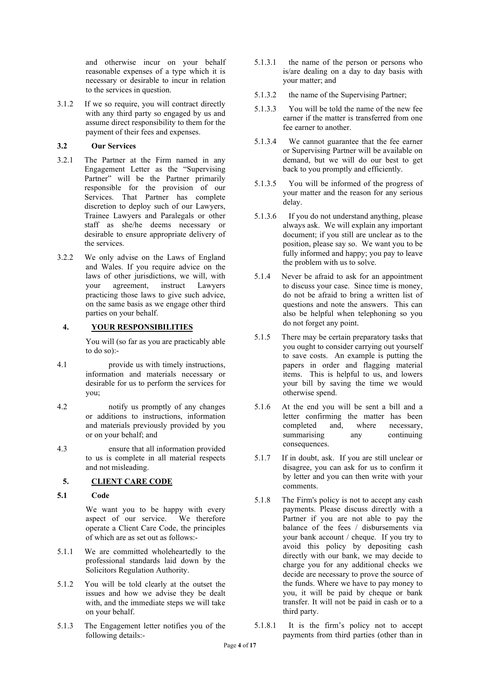and otherwise incur on your behalf reasonable expenses of a type which it is necessary or desirable to incur in relation to the services in question.

3.1.2 If we so require, you will contract directly with any third party so engaged by us and assume direct responsibility to them for the payment of their fees and expenses.

### **3.2 Our Services**

- 3.2.1 The Partner at the Firm named in any Engagement Letter as the "Supervising Partner" will be the Partner primarily responsible for the provision of our Services. That Partner has complete discretion to deploy such of our Lawyers, Trainee Lawyers and Paralegals or other staff as she/he deems necessary or desirable to ensure appropriate delivery of the services.
- 3.2.2 We only advise on the Laws of England and Wales. If you require advice on the laws of other jurisdictions, we will, with your agreement, instruct Lawyers practicing those laws to give such advice, on the same basis as we engage other third parties on your behalf.

## **4. YOUR RESPONSIBILITIES**

You will (so far as you are practicably able to do so):-

- 4.1 provide us with timely instructions, information and materials necessary or desirable for us to perform the services for you;
- 4.2 notify us promptly of any changes or additions to instructions, information and materials previously provided by you or on your behalf; and
- 4.3 ensure that all information provided to us is complete in all material respects and not misleading.

# **5. CLIENT CARE CODE**

**5.1 Code**

We want you to be happy with every<br>aspect of our service. We therefore aspect of our service. operate a Client Care Code, the principles of which are as set out as follows:-

- 5.1.1 We are committed wholeheartedly to the professional standards laid down by the Solicitors Regulation Authority.
- 5.1.2 You will be told clearly at the outset the issues and how we advise they be dealt with, and the immediate steps we will take on your behalf.
- 5.1.3 The Engagement letter notifies you of the following details:-
- 5.1.3.1 the name of the person or persons who is/are dealing on a day to day basis with your matter; and
- 5.1.3.2 the name of the Supervising Partner;
- 5.1.3.3 You will be told the name of the new fee earner if the matter is transferred from one fee earner to another.
- 5.1.3.4 We cannot guarantee that the fee earner or Supervising Partner will be available on demand, but we will do our best to get back to you promptly and efficiently.
- 5.1.3.5 You will be informed of the progress of your matter and the reason for any serious delay.
- 5.1.3.6 If you do not understand anything, please always ask. We will explain any important document; if you still are unclear as to the position, please say so. We want you to be fully informed and happy; you pay to leave the problem with us to solve.
- 5.1.4 Never be afraid to ask for an appointment to discuss your case. Since time is money, do not be afraid to bring a written list of questions and note the answers. This can also be helpful when telephoning so you do not forget any point.
- 5.1.5 There may be certain preparatory tasks that you ought to consider carrying out yourself to save costs. An example is putting the papers in order and flagging material items. This is helpful to us, and lowers your bill by saving the time we would otherwise spend.
- 5.1.6 At the end you will be sent a bill and a letter confirming the matter has been completed and, where necessary, summarising any continuing consequences.
- 5.1.7 If in doubt, ask. If you are still unclear or disagree, you can ask for us to confirm it by letter and you can then write with your comments.
- 5.1.8 The Firm's policy is not to accept any cash payments. Please discuss directly with a Partner if you are not able to pay the balance of the fees / disbursements via your bank account / cheque. If you try to avoid this policy by depositing cash directly with our bank, we may decide to charge you for any additional checks we decide are necessary to prove the source of the funds. Where we have to pay money to you, it will be paid by cheque or bank transfer. It will not be paid in cash or to a third party.
- 5.1.8.1 It is the firm's policy not to accept payments from third parties (other than in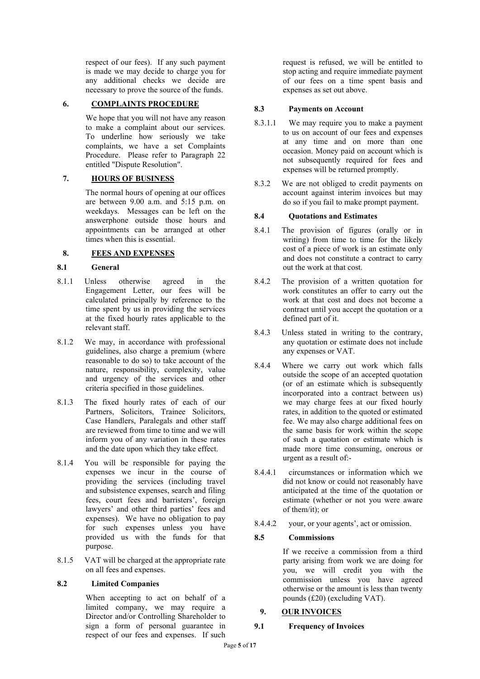respect of our fees). If any such payment is made we may decide to charge you for any additional checks we decide are necessary to prove the source of the funds.

# **6. COMPLAINTS PROCEDURE**

We hope that you will not have any reason to make a complaint about our services. To underline how seriously we take complaints, we have a set Complaints Procedure. Please refer to Paragraph 22 entitled "Dispute Resolution".

## **7. HOURS OF BUSINESS**

The normal hours of opening at our offices are between 9.00 a.m. and 5:15 p.m. on weekdays. Messages can be left on the answerphone outside those hours and appointments can be arranged at other times when this is essential.

### **8. FEES AND EXPENSES**

### **8.1 General**

- 8.1.1 Unless otherwise agreed in the Engagement Letter, our fees will be calculated principally by reference to the time spent by us in providing the services at the fixed hourly rates applicable to the relevant staff.
- 8.1.2 We may, in accordance with professional guidelines, also charge a premium (where reasonable to do so) to take account of the nature, responsibility, complexity, value and urgency of the services and other criteria specified in those guidelines.
- 8.1.3 The fixed hourly rates of each of our Partners, Solicitors, Trainee Solicitors, Case Handlers, Paralegals and other staff are reviewed from time to time and we will inform you of any variation in these rates and the date upon which they take effect.
- 8.1.4 You will be responsible for paying the expenses we incur in the course of providing the services (including travel and subsistence expenses, search and filing fees, court fees and barristers', foreign lawyers' and other third parties' fees and expenses). We have no obligation to pay for such expenses unless you have provided us with the funds for that purpose.
- 8.1.5 VAT will be charged at the appropriate rate on all fees and expenses.

#### **8.2 Limited Companies**

When accepting to act on behalf of a limited company, we may require a Director and/or Controlling Shareholder to sign a form of personal guarantee in respect of our fees and expenses. If such

request is refused, we will be entitled to stop acting and require immediate payment of our fees on a time spent basis and expenses as set out above.

## **8.3 Payments on Account**

- 8.3.1.1 We may require you to make a payment to us on account of our fees and expenses at any time and on more than one occasion. Money paid on account which is not subsequently required for fees and expenses will be returned promptly.
- 8.3.2 We are not obliged to credit payments on account against interim invoices but may do so if you fail to make prompt payment.

## **8.4 Quotations and Estimates**

- 8.4.1 The provision of figures (orally or in writing) from time to time for the likely cost of a piece of work is an estimate only and does not constitute a contract to carry out the work at that cost.
- 8.4.2 The provision of a written quotation for work constitutes an offer to carry out the work at that cost and does not become a contract until you accept the quotation or a defined part of it.
- 8.4.3 Unless stated in writing to the contrary, any quotation or estimate does not include any expenses or VAT.
- 8.4.4 Where we carry out work which falls outside the scope of an accepted quotation (or of an estimate which is subsequently incorporated into a contract between us) we may charge fees at our fixed hourly rates, in addition to the quoted or estimated fee. We may also charge additional fees on the same basis for work within the scope of such a quotation or estimate which is made more time consuming, onerous or urgent as a result of:-
- 8.4.4.1 circumstances or information which we did not know or could not reasonably have anticipated at the time of the quotation or estimate (whether or not you were aware of them/it); or
- 8.4.4.2 your, or your agents', act or omission.

#### **8.5 Commissions**

If we receive a commission from a third party arising from work we are doing for you, we will credit you with the commission unless you have agreed otherwise or the amount is less than twenty pounds (£20) (excluding VAT).

## **9. OUR INVOICES**

#### **9.1 Frequency of Invoices**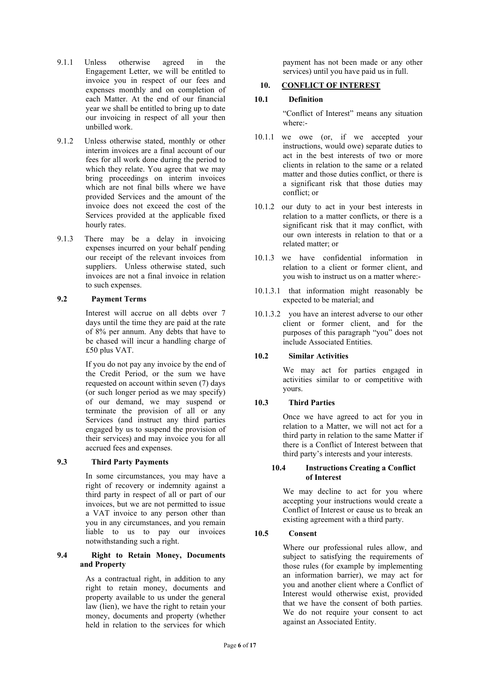- 9.1.1 Unless otherwise agreed in the Engagement Letter, we will be entitled to invoice you in respect of our fees and expenses monthly and on completion of each Matter. At the end of our financial year we shall be entitled to bring up to date our invoicing in respect of all your then unbilled work.
- 9.1.2 Unless otherwise stated, monthly or other interim invoices are a final account of our fees for all work done during the period to which they relate. You agree that we may bring proceedings on interim invoices which are not final bills where we have provided Services and the amount of the invoice does not exceed the cost of the Services provided at the applicable fixed hourly rates.
- 9.1.3 There may be a delay in invoicing expenses incurred on your behalf pending our receipt of the relevant invoices from suppliers. Unless otherwise stated, such invoices are not a final invoice in relation to such expenses.

#### **9.2 Payment Terms**

Interest will accrue on all debts over 7 days until the time they are paid at the rate of 8% per annum. Any debts that have to be chased will incur a handling charge of £50 plus VAT.

If you do not pay any invoice by the end of the Credit Period, or the sum we have requested on account within seven (7) days (or such longer period as we may specify) of our demand, we may suspend or terminate the provision of all or any Services (and instruct any third parties engaged by us to suspend the provision of their services) and may invoice you for all accrued fees and expenses.

## **9.3 Third Party Payments**

In some circumstances, you may have a right of recovery or indemnity against a third party in respect of all or part of our invoices, but we are not permitted to issue a VAT invoice to any person other than you in any circumstances, and you remain liable to us to pay our invoices notwithstanding such a right.

### **9.4 Right to Retain Money, Documents and Property**

As a contractual right, in addition to any right to retain money, documents and property available to us under the general law (lien), we have the right to retain your money, documents and property (whether held in relation to the services for which

payment has not been made or any other services) until you have paid us in full.

## **10. CONFLICT OF INTEREST**

### **10.1 Definition**

"Conflict of Interest" means any situation where:-

- 10.1.1 we owe (or, if we accepted your instructions, would owe) separate duties to act in the best interests of two or more clients in relation to the same or a related matter and those duties conflict, or there is a significant risk that those duties may conflict; or
- 10.1.2 our duty to act in your best interests in relation to a matter conflicts, or there is a significant risk that it may conflict, with our own interests in relation to that or a related matter; or
- 10.1.3 we have confidential information in relation to a client or former client, and you wish to instruct us on a matter where:-
- 10.1.3.1 that information might reasonably be expected to be material; and
- 10.1.3.2 you have an interest adverse to our other client or former client, and for the purposes of this paragraph "you" does not include Associated Entities.

## **10.2 Similar Activities**

We may act for parties engaged in activities similar to or competitive with yours.

## **10.3 Third Parties**

Once we have agreed to act for you in relation to a Matter, we will not act for a third party in relation to the same Matter if there is a Conflict of Interest between that third party's interests and your interests.

#### **10.4 Instructions Creating a Conflict of Interest**

We may decline to act for you where accepting your instructions would create a Conflict of Interest or cause us to break an existing agreement with a third party.

## **10.5 Consent**

Where our professional rules allow, and subject to satisfying the requirements of those rules (for example by implementing an information barrier), we may act for you and another client where a Conflict of Interest would otherwise exist, provided that we have the consent of both parties. We do not require your consent to act against an Associated Entity.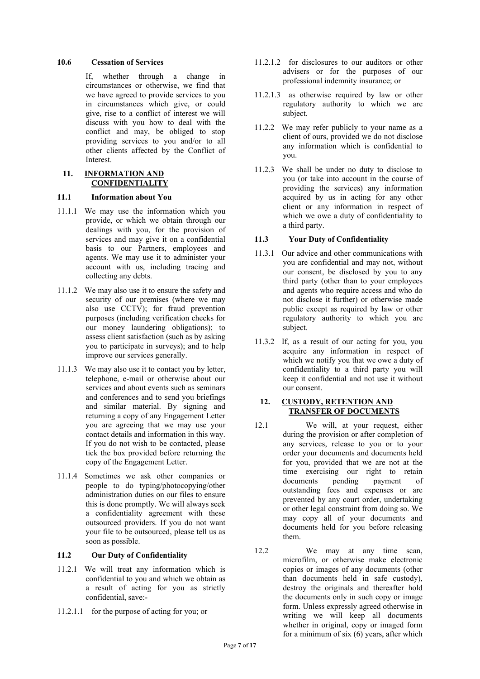#### **10.6 Cessation of Services**

If, whether through a change in circumstances or otherwise, we find that we have agreed to provide services to you in circumstances which give, or could give, rise to a conflict of interest we will discuss with you how to deal with the conflict and may, be obliged to stop providing services to you and/or to all other clients affected by the Conflict of Interest.

#### **11. INFORMATION AND CONFIDENTIALITY**

#### **11.1 Information about You**

- 11.1.1 We may use the information which you provide, or which we obtain through our dealings with you, for the provision of services and may give it on a confidential basis to our Partners, employees and agents. We may use it to administer your account with us, including tracing and collecting any debts.
- 11.1.2 We may also use it to ensure the safety and security of our premises (where we may also use CCTV); for fraud prevention purposes (including verification checks for our money laundering obligations); to assess client satisfaction (such as by asking you to participate in surveys); and to help improve our services generally.
- 11.1.3 We may also use it to contact you by letter, telephone, e-mail or otherwise about our services and about events such as seminars and conferences and to send you briefings and similar material. By signing and returning a copy of any Engagement Letter you are agreeing that we may use your contact details and information in this way. If you do not wish to be contacted, please tick the box provided before returning the copy of the Engagement Letter.
- 11.1.4 Sometimes we ask other companies or people to do typing/photocopying/other administration duties on our files to ensure this is done promptly. We will always seek a confidentiality agreement with these outsourced providers. If you do not want your file to be outsourced, please tell us as soon as possible.

#### **11.2 Our Duty of Confidentiality**

- 11.2.1 We will treat any information which is confidential to you and which we obtain as a result of acting for you as strictly confidential, save:-
- 11.2.1.1 for the purpose of acting for you; or
- 11.2.1.2 for disclosures to our auditors or other advisers or for the purposes of our professional indemnity insurance; or
- 11.2.1.3 as otherwise required by law or other regulatory authority to which we are subject.
- 11.2.2 We may refer publicly to your name as a client of ours, provided we do not disclose any information which is confidential to you.
- 11.2.3 We shall be under no duty to disclose to you (or take into account in the course of providing the services) any information acquired by us in acting for any other client or any information in respect of which we owe a duty of confidentiality to a third party.

## **11.3 Your Duty of Confidentiality**

- 11.3.1 Our advice and other communications with you are confidential and may not, without our consent, be disclosed by you to any third party (other than to your employees and agents who require access and who do not disclose it further) or otherwise made public except as required by law or other regulatory authority to which you are subject.
- 11.3.2 If, as a result of our acting for you, you acquire any information in respect of which we notify you that we owe a duty of confidentiality to a third party you will keep it confidential and not use it without our consent.

### **12. CUSTODY, RETENTION AND TRANSFER OF DOCUMENTS**

- 12.1 We will, at your request, either during the provision or after completion of any services, release to you or to your order your documents and documents held for you, provided that we are not at the time exercising our right to retain documents pending payment of outstanding fees and expenses or are prevented by any court order, undertaking or other legal constraint from doing so. We may copy all of your documents and documents held for you before releasing them.
- 12.2 We may at any time scan, microfilm, or otherwise make electronic copies or images of any documents (other than documents held in safe custody), destroy the originals and thereafter hold the documents only in such copy or image form. Unless expressly agreed otherwise in writing we will keep all documents whether in original, copy or imaged form for a minimum of six (6) years, after which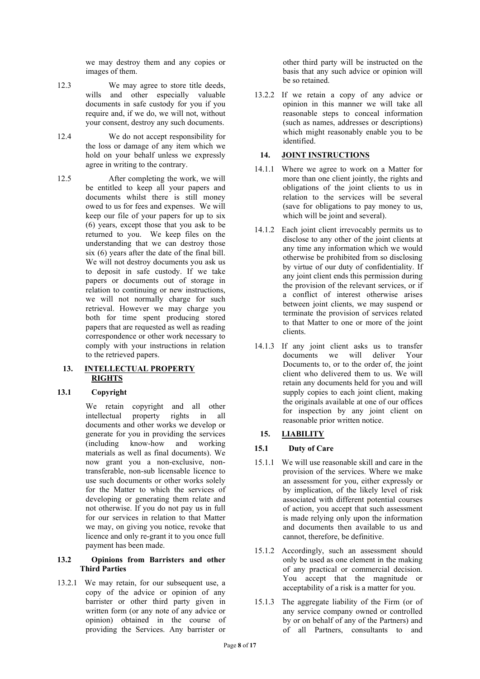we may destroy them and any copies or images of them.

- 12.3 We may agree to store title deeds, wills and other especially valuable documents in safe custody for you if you require and, if we do, we will not, without your consent, destroy any such documents.
- 12.4 We do not accept responsibility for the loss or damage of any item which we hold on your behalf unless we expressly agree in writing to the contrary.
- 12.5 After completing the work, we will be entitled to keep all your papers and documents whilst there is still money owed to us for fees and expenses. We will keep our file of your papers for up to six (6) years, except those that you ask to be returned to you. We keep files on the understanding that we can destroy those six (6) years after the date of the final bill. We will not destroy documents you ask us to deposit in safe custody. If we take papers or documents out of storage in relation to continuing or new instructions, we will not normally charge for such retrieval. However we may charge you both for time spent producing stored papers that are requested as well as reading correspondence or other work necessary to comply with your instructions in relation to the retrieved papers.

## **13. INTELLECTUAL PROPERTY RIGHTS**

# **13.1 Copyright**

We retain copyright and all other intellectual property rights in all documents and other works we develop or generate for you in providing the services (including know-how and working materials as well as final documents). We now grant you a non-exclusive, nontransferable, non-sub licensable licence to use such documents or other works solely for the Matter to which the services of developing or generating them relate and not otherwise. If you do not pay us in full for our services in relation to that Matter we may, on giving you notice, revoke that licence and only re-grant it to you once full payment has been made.

#### **13.2 Opinions from Barristers and other Third Parties**

13.2.1 We may retain, for our subsequent use, a copy of the advice or opinion of any barrister or other third party given in written form (or any note of any advice or opinion) obtained in the course of providing the Services. Any barrister or other third party will be instructed on the basis that any such advice or opinion will be so retained.

13.2.2 If we retain a copy of any advice or opinion in this manner we will take all reasonable steps to conceal information (such as names, addresses or descriptions) which might reasonably enable you to be identified.

# **14. JOINT INSTRUCTIONS**

- 14.1.1 Where we agree to work on a Matter for more than one client jointly, the rights and obligations of the joint clients to us in relation to the services will be several (save for obligations to pay money to us, which will be joint and several).
- 14.1.2 Each joint client irrevocably permits us to disclose to any other of the joint clients at any time any information which we would otherwise be prohibited from so disclosing by virtue of our duty of confidentiality. If any joint client ends this permission during the provision of the relevant services, or if a conflict of interest otherwise arises between joint clients, we may suspend or terminate the provision of services related to that Matter to one or more of the joint clients.
- 14.1.3 If any joint client asks us to transfer documents we will deliver Your Documents to, or to the order of, the joint client who delivered them to us. We will retain any documents held for you and will supply copies to each joint client, making the originals available at one of our offices for inspection by any joint client on reasonable prior written notice.

# **15. LIABILITY**

# **15.1 Duty of Care**

- 15.1.1 We will use reasonable skill and care in the provision of the services. Where we make an assessment for you, either expressly or by implication, of the likely level of risk associated with different potential courses of action, you accept that such assessment is made relying only upon the information and documents then available to us and cannot, therefore, be definitive.
- 15.1.2 Accordingly, such an assessment should only be used as one element in the making of any practical or commercial decision. You accept that the magnitude or acceptability of a risk is a matter for you.
- 15.1.3 The aggregate liability of the Firm (or of any service company owned or controlled by or on behalf of any of the Partners) and of all Partners, consultants to and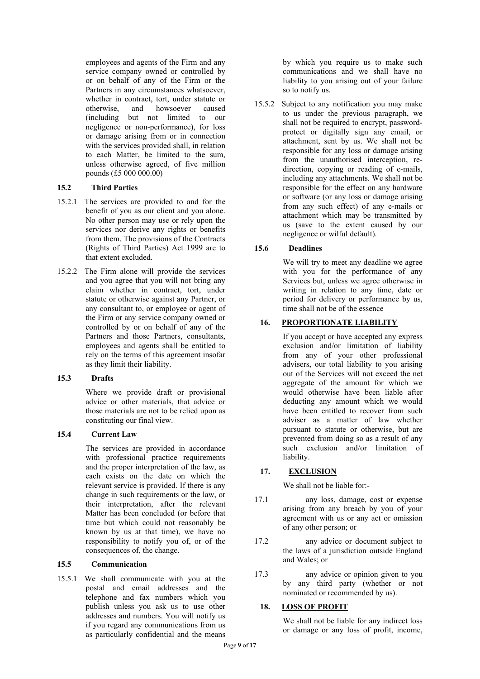employees and agents of the Firm and any service company owned or controlled by or on behalf of any of the Firm or the Partners in any circumstances whatsoever, whether in contract, tort, under statute or otherwise, and howsoever caused (including but not limited to our negligence or non-performance), for loss or damage arising from or in connection with the services provided shall, in relation to each Matter, be limited to the sum, unless otherwise agreed, of five million pounds (£5 000 000.00)

## **15.2 Third Parties**

- 15.2.1 The services are provided to and for the benefit of you as our client and you alone. No other person may use or rely upon the services nor derive any rights or benefits from them. The provisions of the Contracts (Rights of Third Parties) Act 1999 are to that extent excluded.
- 15.2.2 The Firm alone will provide the services and you agree that you will not bring any claim whether in contract, tort, under statute or otherwise against any Partner, or any consultant to, or employee or agent of the Firm or any service company owned or controlled by or on behalf of any of the Partners and those Partners, consultants, employees and agents shall be entitled to rely on the terms of this agreement insofar as they limit their liability.

#### **15.3 Drafts**

Where we provide draft or provisional advice or other materials, that advice or those materials are not to be relied upon as constituting our final view.

## **15.4 Current Law**

The services are provided in accordance with professional practice requirements and the proper interpretation of the law, as each exists on the date on which the relevant service is provided. If there is any change in such requirements or the law, or their interpretation, after the relevant Matter has been concluded (or before that time but which could not reasonably be known by us at that time), we have no responsibility to notify you of, or of the consequences of, the change.

#### **15.5 Communication**

15.5.1 We shall communicate with you at the postal and email addresses and the telephone and fax numbers which you publish unless you ask us to use other addresses and numbers. You will notify us if you regard any communications from us as particularly confidential and the means

by which you require us to make such communications and we shall have no liability to you arising out of your failure so to notify us.

15.5.2 Subject to any notification you may make to us under the previous paragraph, we shall not be required to encrypt, passwordprotect or digitally sign any email, or attachment, sent by us. We shall not be responsible for any loss or damage arising from the unauthorised interception, redirection, copying or reading of e-mails, including any attachments. We shall not be responsible for the effect on any hardware or software (or any loss or damage arising from any such effect) of any e-mails or attachment which may be transmitted by us (save to the extent caused by our negligence or wilful default).

## **15.6 Deadlines**

We will try to meet any deadline we agree with you for the performance of any Services but, unless we agree otherwise in writing in relation to any time, date or period for delivery or performance by us, time shall not be of the essence

# **16. PROPORTIONATE LIABILITY**

If you accept or have accepted any express exclusion and/or limitation of liability from any of your other professional advisers, our total liability to you arising out of the Services will not exceed the net aggregate of the amount for which we would otherwise have been liable after deducting any amount which we would have been entitled to recover from such adviser as a matter of law whether pursuant to statute or otherwise, but are prevented from doing so as a result of any such exclusion and/or limitation of liability.

# **17. EXCLUSION**

We shall not be liable for:-

- 17.1 any loss, damage, cost or expense arising from any breach by you of your agreement with us or any act or omission of any other person; or
- 17.2 any advice or document subject to the laws of a jurisdiction outside England and Wales; or
- 17.3 any advice or opinion given to you by any third party (whether or not nominated or recommended by us).

## **18. LOSS OF PROFIT**

We shall not be liable for any indirect loss or damage or any loss of profit, income,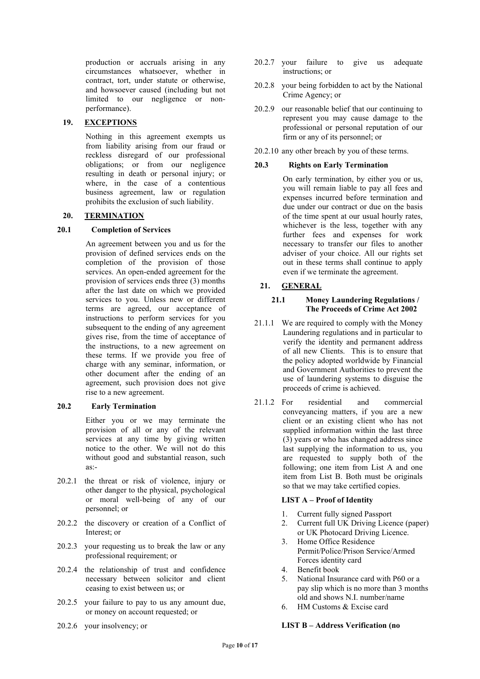production or accruals arising in any circumstances whatsoever, whether in contract, tort, under statute or otherwise, and howsoever caused (including but not limited to our negligence or nonperformance).

## **19. EXCEPTIONS**

Nothing in this agreement exempts us from liability arising from our fraud or reckless disregard of our professional obligations; or from our negligence resulting in death or personal injury; or where, in the case of a contentious business agreement, law or regulation prohibits the exclusion of such liability.

#### **20. TERMINATION**

#### **20.1 Completion of Services**

An agreement between you and us for the provision of defined services ends on the completion of the provision of those services. An open-ended agreement for the provision of services ends three (3) months after the last date on which we provided services to you. Unless new or different terms are agreed, our acceptance of instructions to perform services for you subsequent to the ending of any agreement gives rise, from the time of acceptance of the instructions, to a new agreement on these terms. If we provide you free of charge with any seminar, information, or other document after the ending of an agreement, such provision does not give rise to a new agreement.

#### **20.2 Early Termination**

Either you or we may terminate the provision of all or any of the relevant services at any time by giving written notice to the other. We will not do this without good and substantial reason, such  $as:$ 

- 20.2.1 the threat or risk of violence, injury or other danger to the physical, psychological or moral well-being of any of our personnel; or
- 20.2.2 the discovery or creation of a Conflict of Interest; or
- 20.2.3 your requesting us to break the law or any professional requirement; or
- 20.2.4 the relationship of trust and confidence necessary between solicitor and client ceasing to exist between us; or
- 20.2.5 your failure to pay to us any amount due, or money on account requested; or
- 20.2.6 your insolvency; or
- 20.2.7 your failure to give us adequate instructions; or
- 20.2.8 your being forbidden to act by the National Crime Agency; or
- 20.2.9 our reasonable belief that our continuing to represent you may cause damage to the professional or personal reputation of our firm or any of its personnel; or
- 20.2.10 any other breach by you of these terms.

#### **20.3 Rights on Early Termination**

On early termination, by either you or us, you will remain liable to pay all fees and expenses incurred before termination and due under our contract or due on the basis of the time spent at our usual hourly rates, whichever is the less, together with any further fees and expenses for work necessary to transfer our files to another adviser of your choice. All our rights set out in these terms shall continue to apply even if we terminate the agreement.

### **21. GENERAL**

#### **21.1 Money Laundering Regulations / The Proceeds of Crime Act 2002**

- 21.1.1 We are required to comply with the Money Laundering regulations and in particular to verify the identity and permanent address of all new Clients. This is to ensure that the policy adopted worldwide by Financial and Government Authorities to prevent the use of laundering systems to disguise the proceeds of crime is achieved.
- 21.1.2 For residential and commercial conveyancing matters, if you are a new client or an existing client who has not supplied information within the last three (3) years or who has changed address since last supplying the information to us, you are requested to supply both of the following; one item from List A and one item from List B. Both must be originals so that we may take certified copies.

#### **LIST A – Proof of Identity**

- 1. Current fully signed Passport
- 2. Current full UK Driving Licence (paper) or UK Photocard Driving Licence.
- 3. Home Office Residence Permit/Police/Prison Service/Armed Forces identity card
- 4. Benefit book<br>5. National Insu
- National Insurance card with P60 or a pay slip which is no more than 3 months old and shows N.I. number/name
- 6. HM Customs & Excise card

### **LIST B – Address Verification (no**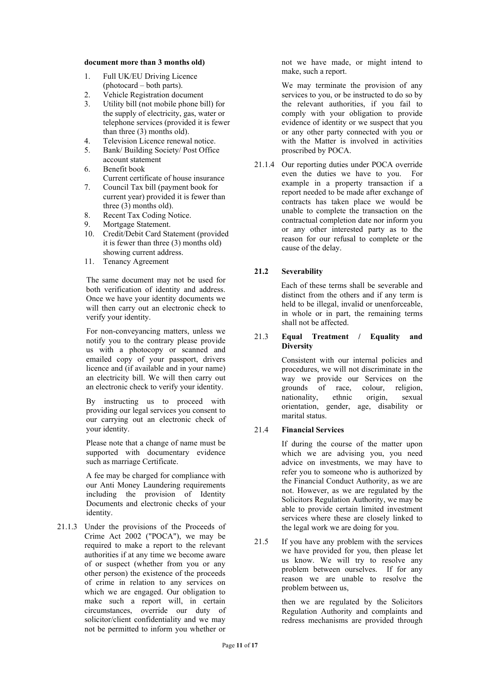#### **document more than 3 months old)**

- 1. Full UK/EU Driving Licence (photocard – both parts).
- 2. Vehicle Registration document<br>3. Utility bill (not mobile phone bi
- Utility bill (not mobile phone bill) for the supply of electricity, gas, water or telephone services (provided it is fewer than three (3) months old).
- 4. Television Licence renewal notice.
- 5. Bank/ Building Society/ Post Office account statement
- 6. Benefit book Current certificate of house insurance
- 7. Council Tax bill (payment book for current year) provided it is fewer than three (3) months old).
- 8. Recent Tax Coding Notice.<br>9. Mortgage Statement.
- Mortgage Statement.
- 10. Credit/Debit Card Statement (provided it is fewer than three (3) months old) showing current address.
- 11. Tenancy Agreement

The same document may not be used for both verification of identity and address. Once we have your identity documents we will then carry out an electronic check to verify your identity.

For non-conveyancing matters, unless we notify you to the contrary please provide us with a photocopy or scanned and emailed copy of your passport, drivers licence and (if available and in your name) an electricity bill. We will then carry out an electronic check to verify your identity.

By instructing us to proceed with providing our legal services you consent to our carrying out an electronic check of your identity.

Please note that a change of name must be supported with documentary evidence such as marriage Certificate.

A fee may be charged for compliance with our Anti Money Laundering requirements including the provision of Identity Documents and electronic checks of your identity.

21.1.3 Under the provisions of the Proceeds of Crime Act 2002 ("POCA"), we may be required to make a report to the relevant authorities if at any time we become aware of or suspect (whether from you or any other person) the existence of the proceeds of crime in relation to any services on which we are engaged. Our obligation to make such a report will, in certain circumstances, override our duty of solicitor/client confidentiality and we may not be permitted to inform you whether or

not we have made, or might intend to make, such a report.

We may terminate the provision of any services to you, or be instructed to do so by the relevant authorities, if you fail to comply with your obligation to provide evidence of identity or we suspect that you or any other party connected with you or with the Matter is involved in activities proscribed by POCA.

21.1.4 Our reporting duties under POCA override even the duties we have to you. For example in a property transaction if a report needed to be made after exchange of contracts has taken place we would be unable to complete the transaction on the contractual completion date nor inform you or any other interested party as to the reason for our refusal to complete or the cause of the delay.

# **21.2 Severability**

 Each of these terms shall be severable and distinct from the others and if any term is held to be illegal, invalid or unenforceable, in whole or in part, the remaining terms shall not be affected.

#### 21.3 **Equal Treatment / Equality and Diversity**

Consistent with our internal policies and procedures, we will not discriminate in the way we provide our Services on the grounds of race, colour, religion, nationality, ethnic origin, sexual orientation, gender, age, disability or marital status.

## 21.4 **Financial Services**

If during the course of the matter upon which we are advising you, you need advice on investments, we may have to refer you to someone who is authorized by the Financial Conduct Authority, as we are not. However, as we are regulated by the Solicitors Regulation Authority, we may be able to provide certain limited investment services where these are closely linked to the legal work we are doing for you.

21.5 If you have any problem with the services we have provided for you, then please let us know. We will try to resolve any problem between ourselves. If for any reason we are unable to resolve the problem between us,

> then we are regulated by the Solicitors Regulation Authority and complaints and redress mechanisms are provided through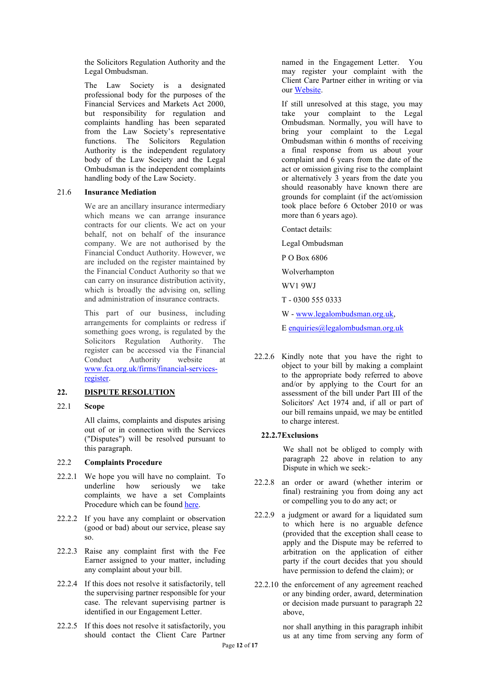the Solicitors Regulation Authority and the Legal Ombudsman.

The Law Society is a designated professional body for the purposes of the Financial Services and Markets Act 2000, but responsibility for regulation and complaints handling has been separated from the Law Society's representative functions. The Solicitors Regulation Authority is the independent regulatory body of the Law Society and the Legal Ombudsman is the independent complaints handling body of the Law Society.

#### 21.6 **Insurance Mediation**

We are an ancillary insurance intermediary which means we can arrange insurance contracts for our clients. We act on your behalf, not on behalf of the insurance company. We are not authorised by the Financial Conduct Authority. However, we are included on the register maintained by the Financial Conduct Authority so that we can carry on insurance distribution activity, which is broadly the advising on, selling and administration of insurance contracts.

This part of our business, including arrangements for complaints or redress if something goes wrong, is regulated by the Solicitors Regulation Authority. The register can be accessed via the Financial Conduct Authority website at [www.fca.org.uk/firms/financial-services](http://www.fca.org.uk/firms/financial-services-register)[register](http://www.fca.org.uk/firms/financial-services-register)*.*

## <span id="page-11-0"></span>**22. DISPUTE RESOLUTION**

#### 22.1 **Scope**

All claims, complaints and disputes arising out of or in connection with the Services ("Disputes") will be resolved pursuant to this paragraph.

#### 22.2 **Complaints Procedure**

- 22.2.1 We hope you will have no complaint. To underline how seriously we take complaints, we have a set Complaints Procedure which can be found [here.](https://www.nevesllp.co.uk/policies/complaints-procedure)
- 22.2.2 If you have any complaint or observation (good or bad) about our service, please say so.
- 22.2.3 Raise any complaint first with the Fee Earner assigned to your matter, including any complaint about your bill.
- 22.2.4 If this does not resolve it satisfactorily, tell the supervising partner responsible for your case. The relevant supervising partner is identified in our Engagement Letter.
- 22.2.5 If this does not resolve it satisfactorily, you should contact the Client Care Partner

named in the Engagement Letter. You may register your complaint with the Client Care Partner either in writing or via our [Website.](http://www.nevesllp.co.uk/)

If still unresolved at this stage, you may take your complaint to the Legal Ombudsman. Normally, you will have to bring your complaint to the Legal Ombudsman within 6 months of receiving a final response from us about your complaint and 6 years from the date of the act or omission giving rise to the complaint or alternatively 3 years from the date you should reasonably have known there are grounds for complaint (if the act/omission took place before 6 October 2010 or was more than 6 years ago).

Contact details:

Legal Ombudsman

P O Box 6806

Wolverhampton

WV1 9WJ

T - 0300 555 0333

W - [www.legalombudsman.org.uk,](http://www.legalombudsman.org.uk/)

E [enquiries@legalombudsman.org.uk](mailto:enquiries@legalombudsman.org.uk)

22.2.6 Kindly note that you have the right to object to your bill by making a complaint to the appropriate body referred to above and/or by applying to the Court for an assessment of the bill under Part III of the Solicitors' Act 1974 and, if all or part of our bill remains unpaid, we may be entitled to charge interest.

#### **22.2.7Exclusions**

We shall not be obliged to comply with paragraph [22](#page-11-0) above in relation to any Dispute in which we seek:-

- 22.2.8 an order or award (whether interim or final) restraining you from doing any act or compelling you to do any act; or
- 22.2.9 a judgment or award for a liquidated sum to which here is no arguable defence (provided that the exception shall cease to apply and the Dispute may be referred to arbitration on the application of either party if the court decides that you should have permission to defend the claim); or
- 22.2.10 the enforcement of any agreement reached or any binding order, award, determination or decision made pursuant to paragraph [22](#page-11-0) above,

nor shall anything in this paragraph inhibit us at any time from serving any form of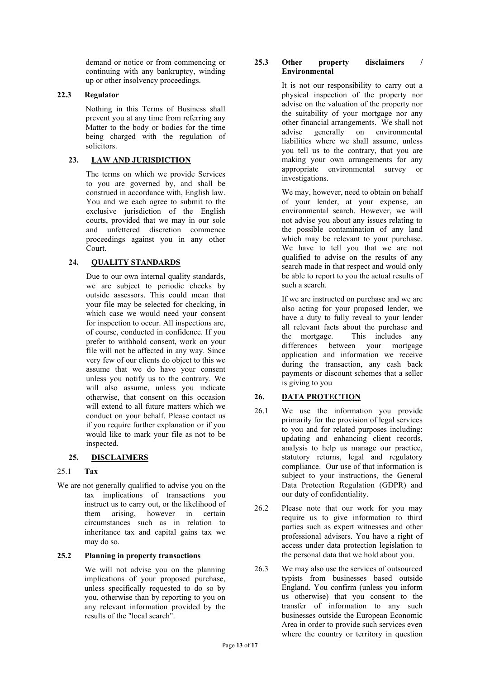demand or notice or from commencing or continuing with any bankruptcy, winding up or other insolvency proceedings.

### **22.3 Regulator**

Nothing in this Terms of Business shall prevent you at any time from referring any Matter to the body or bodies for the time being charged with the regulation of solicitors.

## **23. LAW AND JURISDICTION**

The terms on which we provide Services to you are governed by, and shall be construed in accordance with, English law. You and we each agree to submit to the exclusive jurisdiction of the English courts, provided that we may in our sole and unfettered discretion commence proceedings against you in any other Court.

# **24. QUALITY STANDARDS**

Due to our own internal quality standards, we are subject to periodic checks by outside assessors. This could mean that your file may be selected for checking, in which case we would need your consent for inspection to occur. All inspections are, of course, conducted in confidence. If you prefer to withhold consent, work on your file will not be affected in any way. Since very few of our clients do object to this we assume that we do have your consent unless you notify us to the contrary. We will also assume, unless you indicate otherwise, that consent on this occasion will extend to all future matters which we conduct on your behalf. Please contact us if you require further explanation or if you would like to mark your file as not to be inspected.

## **25. DISCLAIMERS**

## 25.1 **Tax**

We are not generally qualified to advise you on the tax implications of transactions you instruct us to carry out, or the likelihood of them arising, however in certain circumstances such as in relation to inheritance tax and capital gains tax we may do so.

## **25.2 Planning in property transactions**

We will not advise you on the planning implications of your proposed purchase, unless specifically requested to do so by you, otherwise than by reporting to you on any relevant information provided by the results of the "local search".

#### **25.3 Other property disclaimers / Environmental**

It is not our responsibility to carry out a physical inspection of the property nor advise on the valuation of the property nor the suitability of your mortgage nor any other financial arrangements. We shall not<br>advise generally on environmental environmental liabilities where we shall assume, unless you tell us to the contrary, that you are making your own arrangements for any appropriate environmental survey or investigations.

We may, however, need to obtain on behalf of your lender, at your expense, an environmental search. However, we will not advise you about any issues relating to the possible contamination of any land which may be relevant to your purchase. We have to tell you that we are not qualified to advise on the results of any search made in that respect and would only be able to report to you the actual results of such a search.

If we are instructed on purchase and we are also acting for your proposed lender, we have a duty to fully reveal to your lender all relevant facts about the purchase and the mortgage. This includes any differences between your mortgage application and information we receive during the transaction, any cash back payments or discount schemes that a seller is giving to you

# **26. DATA PROTECTION**

- 26.1 We use the information you provide primarily for the provision of legal services to you and for related purposes including: updating and enhancing client records, analysis to help us manage our practice, statutory returns, legal and regulatory compliance. Our use of that information is subject to your instructions, the General Data Protection Regulation (GDPR) and our duty of confidentiality.
- 26.2 Please note that our work for you may require us to give information to third parties such as expert witnesses and other professional advisers. You have a right of access under data protection legislation to the personal data that we hold about you.
- 26.3 We may also use the services of outsourced typists from businesses based outside England. You confirm (unless you inform us otherwise) that you consent to the transfer of information to any such businesses outside the European Economic Area in order to provide such services even where the country or territory in question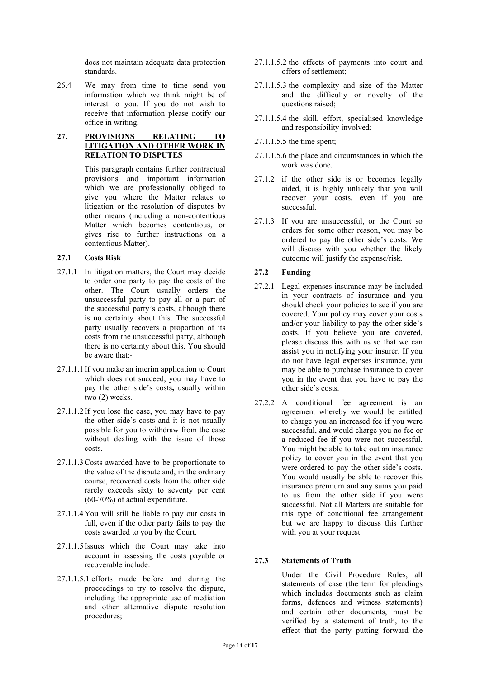does not maintain adequate data protection standards.

26.4 We may from time to time send you information which we think might be of interest to you. If you do not wish to receive that information please notify our office in writing.

### **27. PROVISIONS RELATING TO LITIGATION AND OTHER WORK IN RELATION TO DISPUTES**

This paragraph contains further contractual provisions and important information which we are professionally obliged to give you where the Matter relates to litigation or the resolution of disputes by other means (including a non-contentious Matter which becomes contentious, or gives rise to further instructions on a contentious Matter).

## **27.1 Costs Risk**

- 27.1.1 In litigation matters, the Court may decide to order one party to pay the costs of the other. The Court usually orders the unsuccessful party to pay all or a part of the successful party's costs, although there is no certainty about this. The successful party usually recovers a proportion of its costs from the unsuccessful party, although there is no certainty about this. You should be aware that:-
- 27.1.1.1 If you make an interim application to Court which does not succeed, you may have to pay the other side's costs**,** usually within two (2) weeks.
- 27.1.1.2 If you lose the case, you may have to pay the other side's costs and it is not usually possible for you to withdraw from the case without dealing with the issue of those costs.
- 27.1.1.3Costs awarded have to be proportionate to the value of the dispute and, in the ordinary course, recovered costs from the other side rarely exceeds sixty to seventy per cent (60-70%) of actual expenditure.
- 27.1.1.4You will still be liable to pay our costs in full, even if the other party fails to pay the costs awarded to you by the Court.
- 27.1.1.5 Issues which the Court may take into account in assessing the costs payable or recoverable include:
- 27.1.1.5.1 efforts made before and during the proceedings to try to resolve the dispute, including the appropriate use of mediation and other alternative dispute resolution procedures;
- 27.1.1.5.2 the effects of payments into court and offers of settlement;
- 27.1.1.5.3 the complexity and size of the Matter and the difficulty or novelty of the questions raised;
- 27.1.1.5.4 the skill, effort, specialised knowledge and responsibility involved;
- 27.1.1.5.5 the time spent;
- 27.1.1.5.6 the place and circumstances in which the work was done.
- 27.1.2 if the other side is or becomes legally aided, it is highly unlikely that you will recover your costs, even if you are successful.
- 27.1.3 If you are unsuccessful, or the Court so orders for some other reason, you may be ordered to pay the other side's costs. We will discuss with you whether the likely outcome will justify the expense/risk.

## **27.2 Funding**

- 27.2.1 Legal expenses insurance may be included in your contracts of insurance and you should check your policies to see if you are covered. Your policy may cover your costs and/or your liability to pay the other side's costs. If you believe you are covered, please discuss this with us so that we can assist you in notifying your insurer. If you do not have legal expenses insurance, you may be able to purchase insurance to cover you in the event that you have to pay the other side's costs.
- 27.2.2 A conditional fee agreement is an agreement whereby we would be entitled to charge you an increased fee if you were successful, and would charge you no fee or a reduced fee if you were not successful. You might be able to take out an insurance policy to cover you in the event that you were ordered to pay the other side's costs. You would usually be able to recover this insurance premium and any sums you paid to us from the other side if you were successful. Not all Matters are suitable for this type of conditional fee arrangement but we are happy to discuss this further with you at your request.

## **27.3 Statements of Truth**

Under the Civil Procedure Rules, all statements of case (the term for pleadings which includes documents such as claim forms, defences and witness statements) and certain other documents, must be verified by a statement of truth, to the effect that the party putting forward the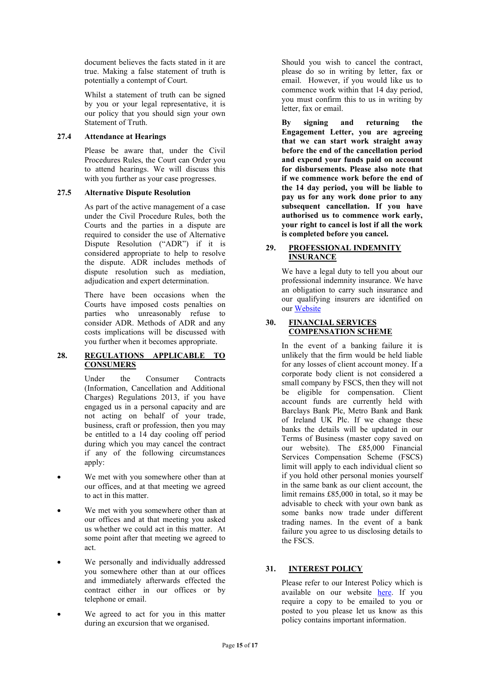document believes the facts stated in it are true. Making a false statement of truth is potentially a contempt of Court.

 Whilst a statement of truth can be signed by you or your legal representative, it is our policy that you should sign your own Statement of Truth.

### **27.4 Attendance at Hearings**

Please be aware that, under the Civil Procedures Rules, the Court can Order you to attend hearings. We will discuss this with you further as your case progresses.

### **27.5 Alternative Dispute Resolution**

As part of the active management of a case under the Civil Procedure Rules, both the Courts and the parties in a dispute are required to consider the use of Alternative Dispute Resolution ("ADR") if it is considered appropriate to help to resolve the dispute. ADR includes methods of dispute resolution such as mediation, adjudication and expert determination.

There have been occasions when the Courts have imposed costs penalties on parties who unreasonably refuse to consider ADR. Methods of ADR and any costs implications will be discussed with you further when it becomes appropriate.

### **28. REGULATIONS APPLICABLE TO CONSUMERS**

Under the Consumer Contracts (Information, Cancellation and Additional Charges) Regulations 2013, if you have engaged us in a personal capacity and are not acting on behalf of your trade, business, craft or profession, then you may be entitled to a 14 day cooling off period during which you may cancel the contract if any of the following circumstances apply:

- We met with you somewhere other than at our offices, and at that meeting we agreed to act in this matter.
- We met with you somewhere other than at our offices and at that meeting you asked us whether we could act in this matter. At some point after that meeting we agreed to act.
- We personally and individually addressed you somewhere other than at our offices and immediately afterwards effected the contract either in our offices or by telephone or email.
- We agreed to act for you in this matter during an excursion that we organised.

Should you wish to cancel the contract, please do so in writing by letter, fax or email. However, if you would like us to commence work within that 14 day period, you must confirm this to us in writing by letter, fax or email.

 **By signing and returning the Engagement Letter, you are agreeing that we can start work straight away before the end of the cancellation period and expend your funds paid on account for disbursements. Please also note that if we commence work before the end of the 14 day period, you will be liable to pay us for any work done prior to any subsequent cancellation. If you have authorised us to commence work early, your right to cancel is lost if all the work is completed before you cancel.**

### **29. PROFESSIONAL INDEMNITY INSURANCE**

We have a legal duty to tell you about our professional indemnity insurance. We have an obligation to carry such insurance and our qualifying insurers are identified on our [Website](http://www.nevesllp.co.uk/)

#### **30. FINANCIAL SERVICES COMPENSATION SCHEME**

In the event of a banking failure it is unlikely that the firm would be held liable for any losses of client account money. If a corporate body client is not considered a small company by FSCS, then they will not be eligible for compensation. Client account funds are currently held with Barclays Bank Plc, Metro Bank and Bank of Ireland UK Plc. If we change these banks the details will be updated in our Terms of Business (master copy saved on our website). The £85,000 Financial Services Compensation Scheme (FSCS) limit will apply to each individual client so if you hold other personal monies yourself in the same bank as our client account, the limit remains £85,000 in total, so it may be advisable to check with your own bank as some banks now trade under different trading names. In the event of a bank failure you agree to us disclosing details to the FSCS.

## **31. INTEREST POLICY**

Please refer to our Interest Policy which is available on our website [here.](https://www.nevesllp.co.uk/media/2035/interest-policy-v26112020.pdf) If you require a copy to be emailed to you or posted to you please let us know as this policy contains important information.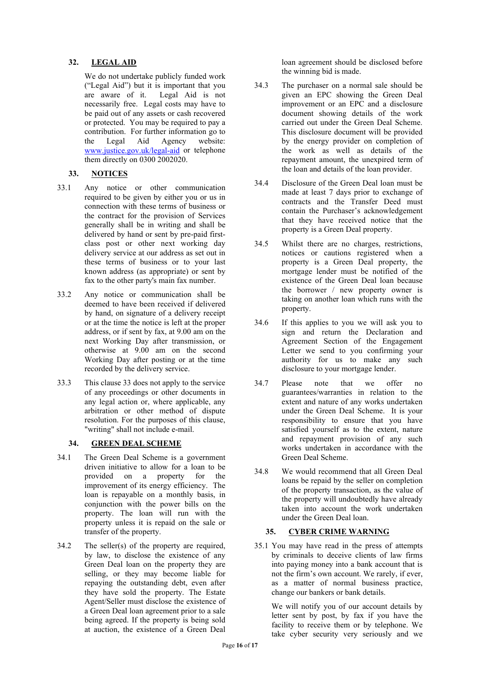# **32. LEGAL AID**

We do not undertake publicly funded work ("Legal Aid") but it is important that you are aware of it. Legal Aid is not necessarily free. Legal costs may have to be paid out of any assets or cash recovered or protected. You may be required to pay a contribution. For further information go to<br>the Legal Aid Agency website: the Legal Aid Agency [www.justice.gov.uk/legal-aid](http://www.justice.gov.uk/legal-aid) or telephone them directly on 0300 2002020.

# **33. NOTICES**

- 33.1 Any notice or other communication required to be given by either you or us in connection with these terms of business or the contract for the provision of Services generally shall be in writing and shall be delivered by hand or sent by pre-paid firstclass post or other next working day delivery service at our address as set out in these terms of business or to your last known address (as appropriate) or sent by fax to the other party's main fax number.
- 33.2 Any notice or communication shall be deemed to have been received if delivered by hand, on signature of a delivery receipt or at the time the notice is left at the proper address, or if sent by fax, at 9.00 am on the next Working Day after transmission, or otherwise at 9.00 am on the second Working Day after posting or at the time recorded by the delivery service.
- 33.3 This clause 33 does not apply to the service of any proceedings or other documents in any legal action or, where applicable, any arbitration or other method of dispute resolution. For the purposes of this clause, "writing" shall not include e-mail.

## **34. GREEN DEAL SCHEME**

- 34.1 The Green Deal Scheme is a government driven initiative to allow for a loan to be provided on a property for the improvement of its energy efficiency. The loan is repayable on a monthly basis, in conjunction with the power bills on the property. The loan will run with the property unless it is repaid on the sale or transfer of the property.
- 34.2 The seller(s) of the property are required, by law, to disclose the existence of any Green Deal loan on the property they are selling, or they may become liable for repaying the outstanding debt, even after they have sold the property. The Estate Agent/Seller must disclose the existence of a Green Deal loan agreement prior to a sale being agreed. If the property is being sold at auction, the existence of a Green Deal

loan agreement should be disclosed before the winning bid is made.

- 34.3 The purchaser on a normal sale should be given an EPC showing the Green Deal improvement or an EPC and a disclosure document showing details of the work carried out under the Green Deal Scheme. This disclosure document will be provided by the energy provider on completion of the work as well as details of the repayment amount, the unexpired term of the loan and details of the loan provider.
- 34.4 Disclosure of the Green Deal loan must be made at least 7 days prior to exchange of contracts and the Transfer Deed must contain the Purchaser's acknowledgement that they have received notice that the property is a Green Deal property.
- 34.5 Whilst there are no charges, restrictions, notices or cautions registered when a property is a Green Deal property, the mortgage lender must be notified of the existence of the Green Deal loan because the borrower / new property owner is taking on another loan which runs with the property.
- 34.6 If this applies to you we will ask you to sign and return the Declaration and Agreement Section of the Engagement Letter we send to you confirming your authority for us to make any such disclosure to your mortgage lender.
- 34.7 Please note that we offer no guarantees/warranties in relation to the extent and nature of any works undertaken under the Green Deal Scheme. It is your responsibility to ensure that you have satisfied yourself as to the extent, nature and repayment provision of any such works undertaken in accordance with the Green Deal Scheme.
- 34.8 We would recommend that all Green Deal loans be repaid by the seller on completion of the property transaction, as the value of the property will undoubtedly have already taken into account the work undertaken under the Green Deal loan.

## **35. CYBER CRIME WARNING**

35.1 You may have read in the press of attempts by criminals to deceive clients of law firms into paying money into a bank account that is not the firm's own account. We rarely, if ever, as a matter of normal business practice, change our bankers or bank details.

We will notify you of our account details by letter sent by post, by fax if you have the facility to receive them or by telephone. We take cyber security very seriously and we